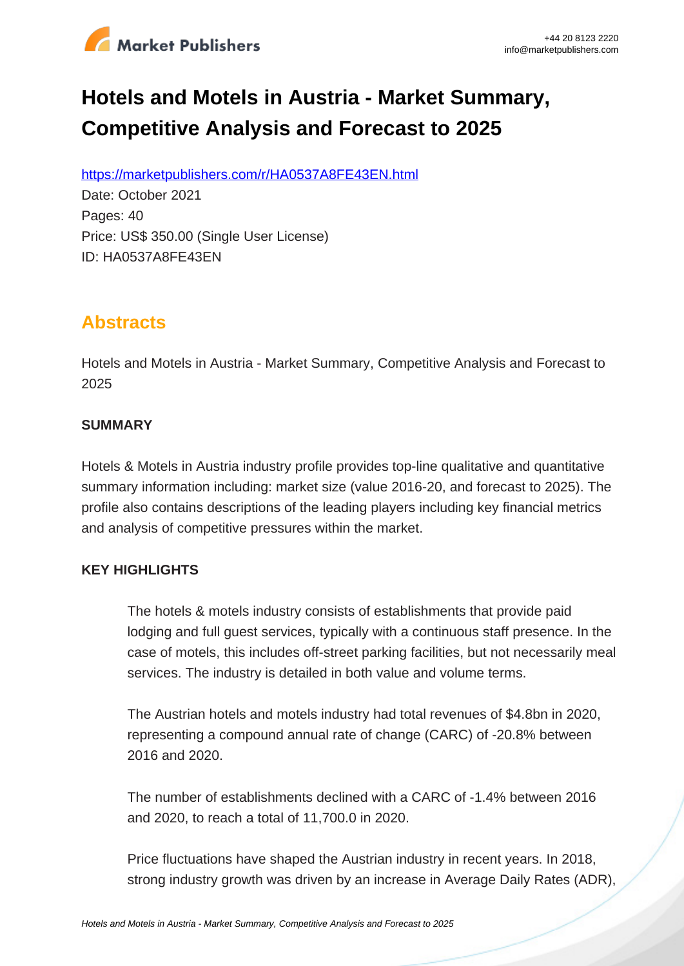

# **Hotels and Motels in Austria - Market Summary, Competitive Analysis and Forecast to 2025**

https://marketpublishers.com/r/HA0537A8FE43EN.html

Date: October 2021 Pages: 40 Price: US\$ 350.00 (Single User License) ID: HA0537A8FE43EN

# **Abstracts**

Hotels and Motels in Austria - Market Summary, Competitive Analysis and Forecast to 2025

#### **SUMMARY**

Hotels & Motels in Austria industry profile provides top-line qualitative and quantitative summary information including: market size (value 2016-20, and forecast to 2025). The profile also contains descriptions of the leading players including key financial metrics and analysis of competitive pressures within the market.

### **KEY HIGHLIGHTS**

The hotels & motels industry consists of establishments that provide paid lodging and full guest services, typically with a continuous staff presence. In the case of motels, this includes off-street parking facilities, but not necessarily meal services. The industry is detailed in both value and volume terms.

The Austrian hotels and motels industry had total revenues of \$4.8bn in 2020, representing a compound annual rate of change (CARC) of -20.8% between 2016 and 2020.

The number of establishments declined with a CARC of -1.4% between 2016 and 2020, to reach a total of 11,700.0 in 2020.

Price fluctuations have shaped the Austrian industry in recent years. In 2018, strong industry growth was driven by an increase in Average Daily Rates (ADR),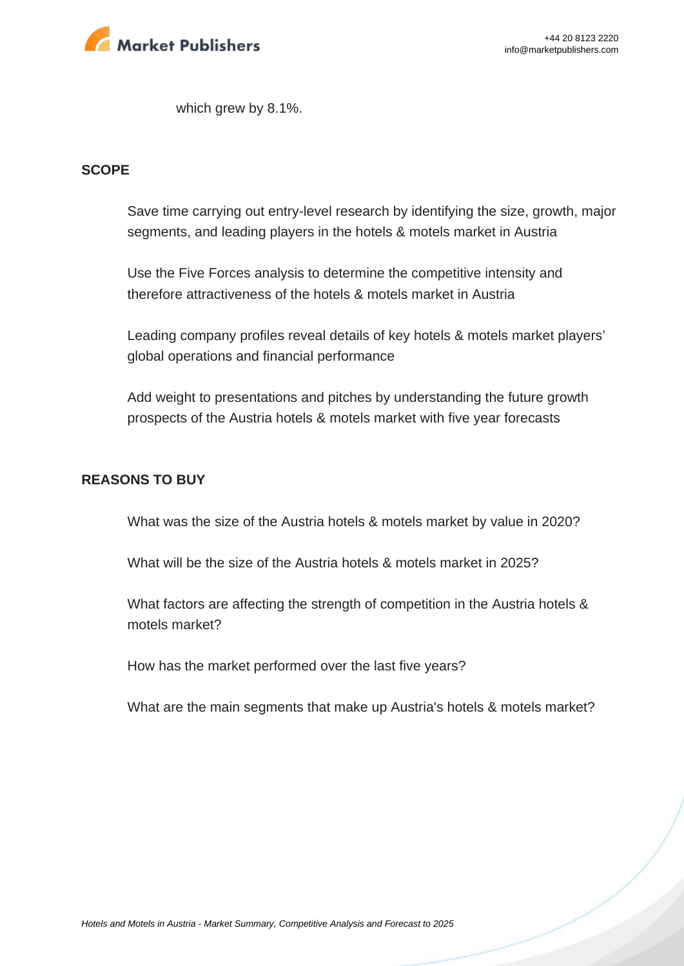

which grew by 8.1%.

#### **SCOPE**

Save time carrying out entry-level research by identifying the size, growth, major segments, and leading players in the hotels & motels market in Austria

Use the Five Forces analysis to determine the competitive intensity and therefore attractiveness of the hotels & motels market in Austria

Leading company profiles reveal details of key hotels & motels market players' global operations and financial performance

Add weight to presentations and pitches by understanding the future growth prospects of the Austria hotels & motels market with five year forecasts

#### **REASONS TO BUY**

What was the size of the Austria hotels & motels market by value in 2020?

What will be the size of the Austria hotels & motels market in 2025?

What factors are affecting the strength of competition in the Austria hotels & motels market?

How has the market performed over the last five years?

What are the main segments that make up Austria's hotels & motels market?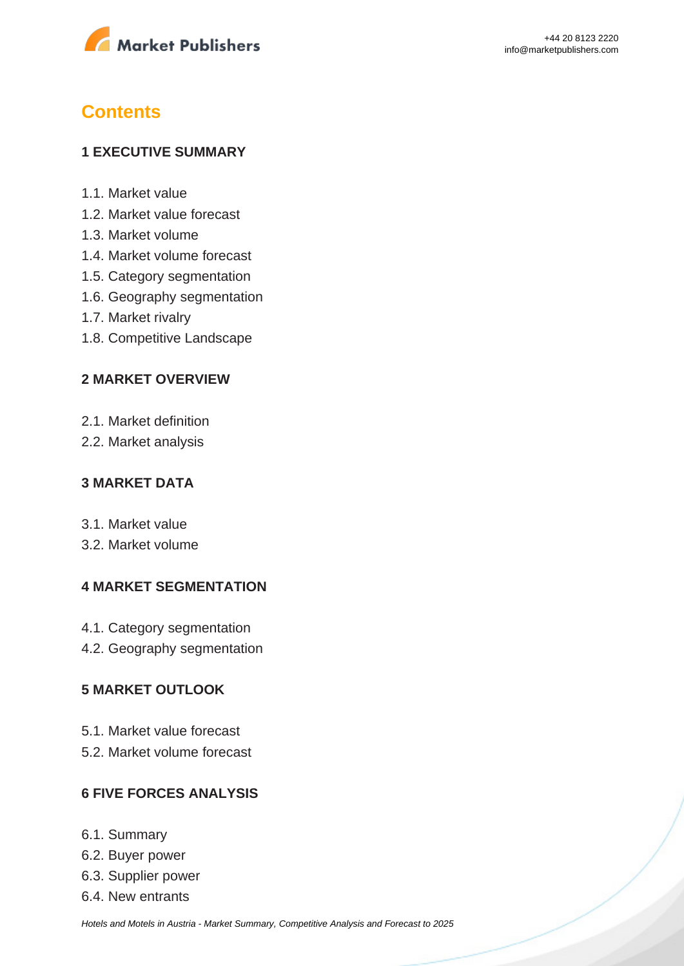

# **Contents**

#### **1 EXECUTIVE SUMMARY**

- 1.1. Market value
- 1.2. Market value forecast
- 1.3. Market volume
- 1.4. Market volume forecast
- 1.5. Category segmentation
- 1.6. Geography segmentation
- 1.7. Market rivalry
- 1.8. Competitive Landscape

#### **2 MARKET OVERVIEW**

- 2.1. Market definition
- 2.2. Market analysis

#### **3 MARKET DATA**

- 3.1. Market value
- 3.2. Market volume

#### **4 MARKET SEGMENTATION**

- 4.1. Category segmentation
- 4.2. Geography segmentation

#### **5 MARKET OUTLOOK**

- 5.1. Market value forecast
- 5.2. Market volume forecast

#### **6 FIVE FORCES ANALYSIS**

- 6.1. Summary
- 6.2. Buyer power
- 6.3. Supplier power
- 6.4. New entrants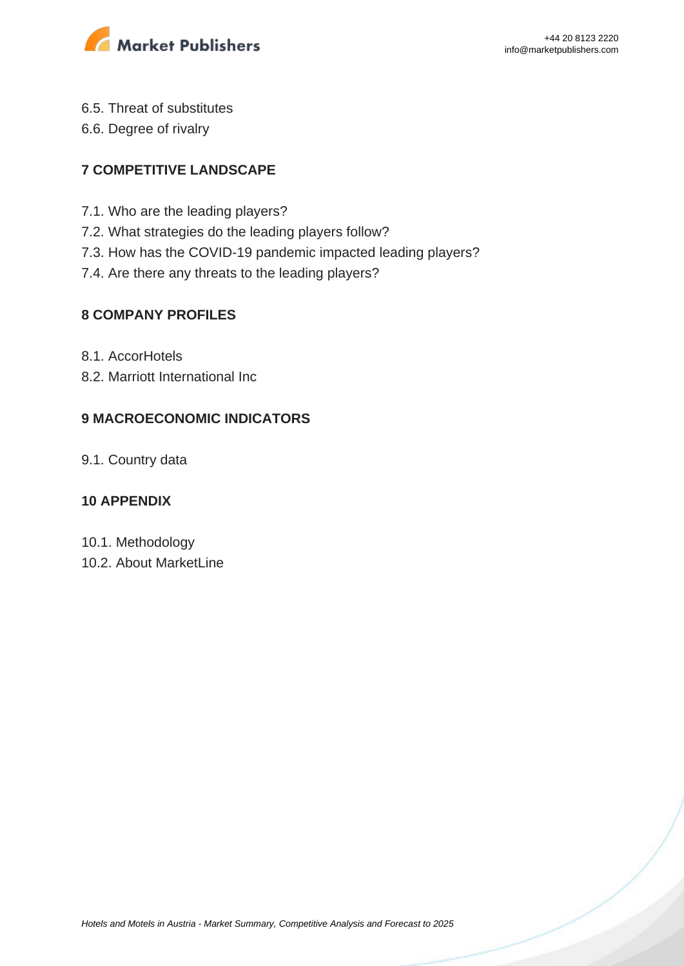

- 6.5. Threat of substitutes
- 6.6. Degree of rivalry

### **7 COMPETITIVE LANDSCAPE**

- 7.1. Who are the leading players?
- 7.2. What strategies do the leading players follow?
- 7.3. How has the COVID-19 pandemic impacted leading players?
- 7.4. Are there any threats to the leading players?

#### **8 COMPANY PROFILES**

- 8.1. AccorHotels
- 8.2. Marriott International Inc

#### **9 MACROECONOMIC INDICATORS**

9.1. Country data

#### **10 APPENDIX**

- 10.1. Methodology
- 10.2. About MarketLine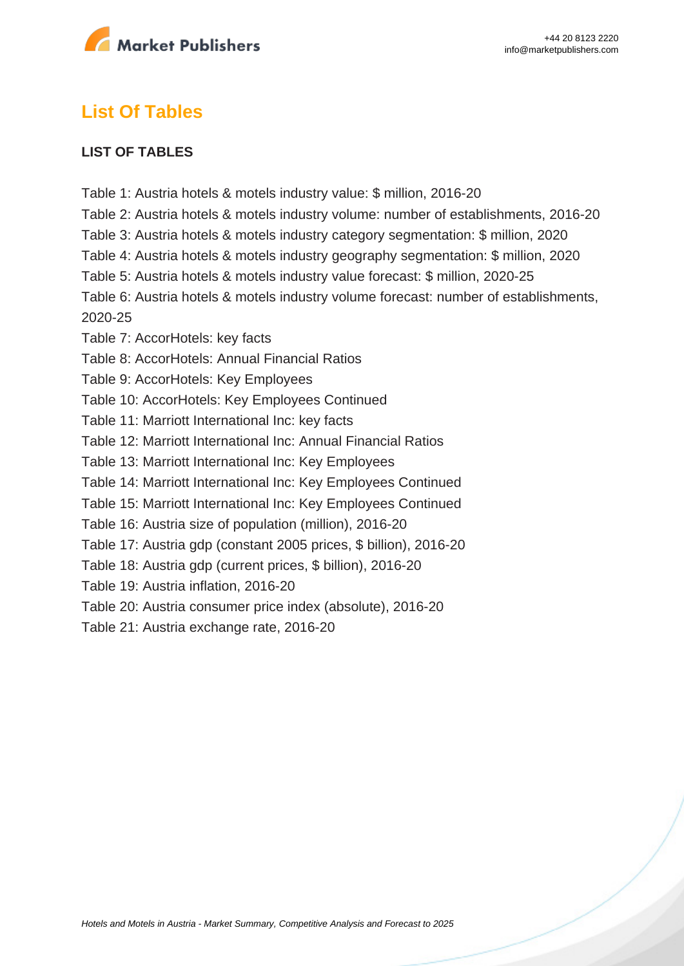

## **List Of Tables**

#### **LIST OF TABLES**

- Table 1: Austria hotels & motels industry value: \$ million, 2016-20
- Table 2: Austria hotels & motels industry volume: number of establishments, 2016-20
- Table 3: Austria hotels & motels industry category segmentation: \$ million, 2020
- Table 4: Austria hotels & motels industry geography segmentation: \$ million, 2020
- Table 5: Austria hotels & motels industry value forecast: \$ million, 2020-25
- Table 6: Austria hotels & motels industry volume forecast: number of establishments, 2020-25
- Table 7: AccorHotels: key facts
- Table 8: AccorHotels: Annual Financial Ratios
- Table 9: AccorHotels: Key Employees
- Table 10: AccorHotels: Key Employees Continued
- Table 11: Marriott International Inc: key facts
- Table 12: Marriott International Inc: Annual Financial Ratios
- Table 13: Marriott International Inc: Key Employees
- Table 14: Marriott International Inc: Key Employees Continued
- Table 15: Marriott International Inc: Key Employees Continued
- Table 16: Austria size of population (million), 2016-20
- Table 17: Austria gdp (constant 2005 prices, \$ billion), 2016-20
- Table 18: Austria gdp (current prices, \$ billion), 2016-20
- Table 19: Austria inflation, 2016-20
- Table 20: Austria consumer price index (absolute), 2016-20
- Table 21: Austria exchange rate, 2016-20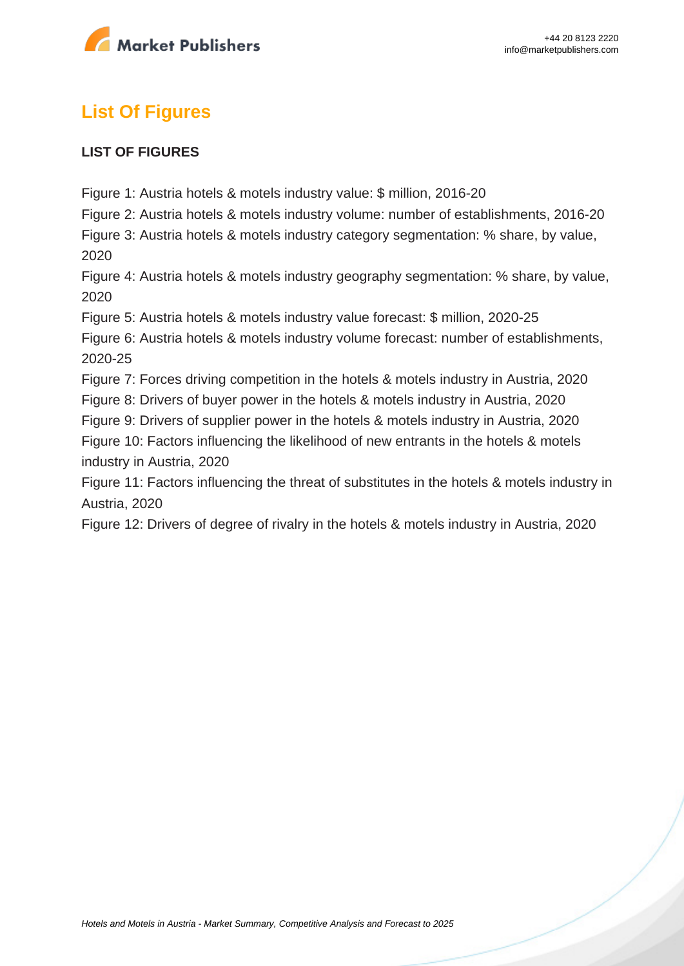

# **List Of Figures**

#### **LIST OF FIGURES**

Figure 1: Austria hotels & motels industry value: \$ million, 2016-20

Figure 2: Austria hotels & motels industry volume: number of establishments, 2016-20

Figure 3: Austria hotels & motels industry category segmentation: % share, by value, 2020

Figure 4: Austria hotels & motels industry geography segmentation: % share, by value, 2020

Figure 5: Austria hotels & motels industry value forecast: \$ million, 2020-25

Figure 6: Austria hotels & motels industry volume forecast: number of establishments, 2020-25

Figure 7: Forces driving competition in the hotels & motels industry in Austria, 2020

Figure 8: Drivers of buyer power in the hotels & motels industry in Austria, 2020

Figure 9: Drivers of supplier power in the hotels & motels industry in Austria, 2020

Figure 10: Factors influencing the likelihood of new entrants in the hotels & motels industry in Austria, 2020

Figure 11: Factors influencing the threat of substitutes in the hotels & motels industry in Austria, 2020

Figure 12: Drivers of degree of rivalry in the hotels & motels industry in Austria, 2020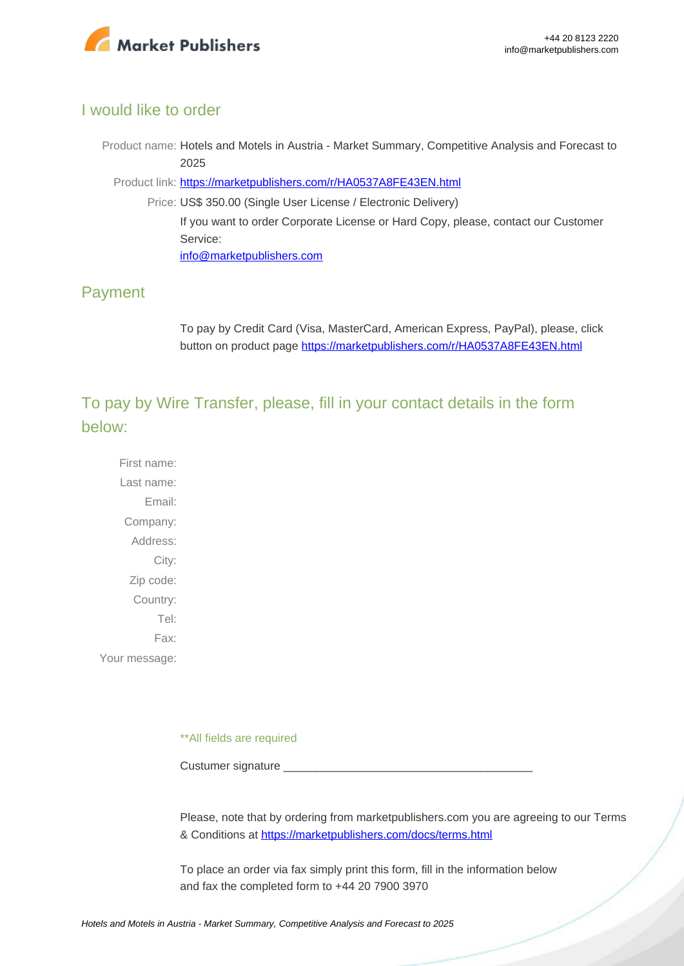

#### I would like to order

Product name: Hotels and Motels in Austria - Market Summary, Competitive Analysis and Forecast to 2025

Product link: [https://marketpublishers.com/r/HA0537A8FE43EN.html](https://marketpublishers.com/report/services/hotels/hotels-n-motels-in-austria-market-summary-competitive-analysis-n-forecast-to-2025.html)

Price: US\$ 350.00 (Single User License / Electronic Delivery) If you want to order Corporate License or Hard Copy, please, contact our Customer Service: [info@marketpublishers.com](mailto:info@marketpublishers.com)

### Payment

To pay by Credit Card (Visa, MasterCard, American Express, PayPal), please, click button on product page [https://marketpublishers.com/r/HA0537A8FE43EN.html](https://marketpublishers.com/report/services/hotels/hotels-n-motels-in-austria-market-summary-competitive-analysis-n-forecast-to-2025.html)

To pay by Wire Transfer, please, fill in your contact details in the form below:

First name: Last name: Email: Company: Address: City: Zip code: Country: Tel: Fax: Your message:

\*\*All fields are required

Custumer signature

Please, note that by ordering from marketpublishers.com you are agreeing to our Terms & Conditions at<https://marketpublishers.com/docs/terms.html>

To place an order via fax simply print this form, fill in the information below and fax the completed form to +44 20 7900 3970